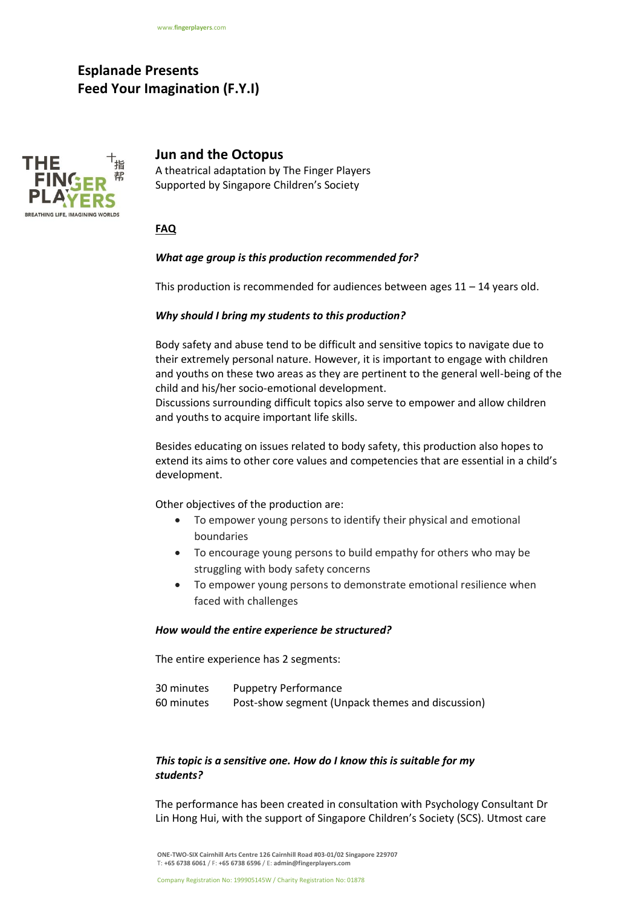# **Esplanade Presents Feed Your Imagination (F.Y.I)**



**Jun and the Octopus**

A theatrical adaptation by The Finger Players Supported by Singapore Children's Society

## **FAQ**

## *What age group is this production recommended for?*

This production is recommended for audiences between ages 11 – 14 years old.

## *Why should I bring my students to this production?*

Body safety and abuse tend to be difficult and sensitive topics to navigate due to their extremely personal nature. However, it is important to engage with children and youths on these two areas as they are pertinent to the general well-being of the child and his/her socio-emotional development.

Discussions surrounding difficult topics also serve to empower and allow children and youths to acquire important life skills.

Besides educating on issues related to body safety, this production also hopes to extend its aims to other core values and competencies that are essential in a child's development.

Other objectives of the production are:

- To empower young persons to identify their physical and emotional boundaries
- To encourage young persons to build empathy for others who may be struggling with body safety concerns
- To empower young persons to demonstrate emotional resilience when faced with challenges

#### *How would the entire experience be structured?*

The entire experience has 2 segments:

| 30 minutes | <b>Puppetry Performance</b>                      |
|------------|--------------------------------------------------|
| 60 minutes | Post-show segment (Unpack themes and discussion) |

# *This topic is a sensitive one. How do I know this is suitable for my students?*

The performance has been created in consultation with Psychology Consultant Dr Lin Hong Hui, with the support of Singapore Children's Society (SCS). Utmost care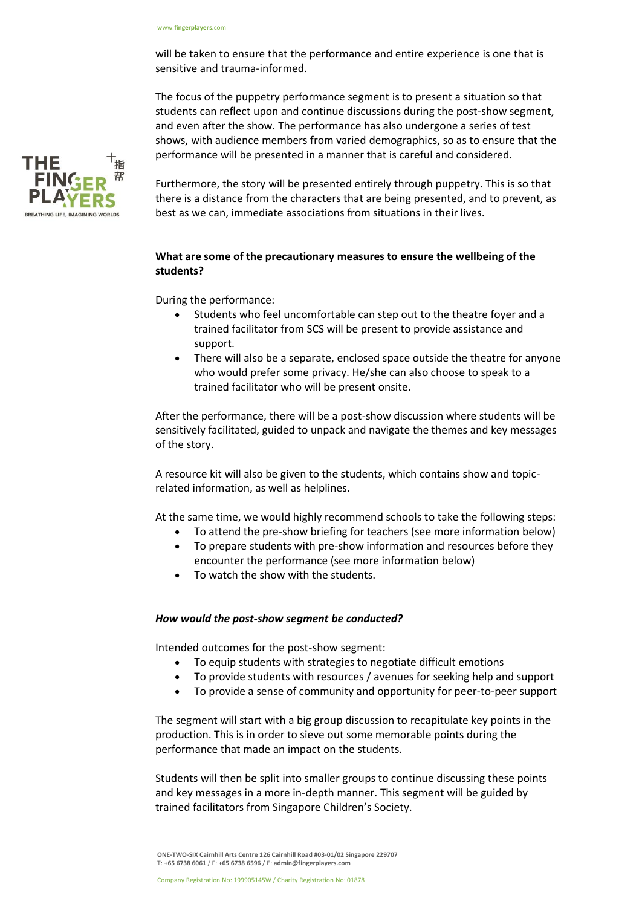will be taken to ensure that the performance and entire experience is one that is sensitive and trauma-informed.

The focus of the puppetry performance segment is to present a situation so that students can reflect upon and continue discussions during the post-show segment, and even after the show. The performance has also undergone a series of test shows, with audience members from varied demographics, so as to ensure that the performance will be presented in a manner that is careful and considered.

Furthermore, the story will be presented entirely through puppetry. This is so that there is a distance from the characters that are being presented, and to prevent, as best as we can, immediate associations from situations in their lives.

# **What are some of the precautionary measures to ensure the wellbeing of the students?**

During the performance:

- Students who feel uncomfortable can step out to the theatre foyer and a trained facilitator from SCS will be present to provide assistance and support.
- There will also be a separate, enclosed space outside the theatre for anyone who would prefer some privacy. He/she can also choose to speak to a trained facilitator who will be present onsite.

After the performance, there will be a post-show discussion where students will be sensitively facilitated, guided to unpack and navigate the themes and key messages of the story.

A resource kit will also be given to the students, which contains show and topicrelated information, as well as helplines.

At the same time, we would highly recommend schools to take the following steps:

- To attend the pre-show briefing for teachers (see more information below)
- To prepare students with pre-show information and resources before they encounter the performance (see more information below)
- To watch the show with the students.

## *How would the post-show segment be conducted?*

Intended outcomes for the post-show segment:

- To equip students with strategies to negotiate difficult emotions
- To provide students with resources / avenues for seeking help and support
- To provide a sense of community and opportunity for peer-to-peer support

The segment will start with a big group discussion to recapitulate key points in the production. This is in order to sieve out some memorable points during the performance that made an impact on the students.

Students will then be split into smaller groups to continue discussing these points and key messages in a more in-depth manner. This segment will be guided by trained facilitators from Singapore Children's Society.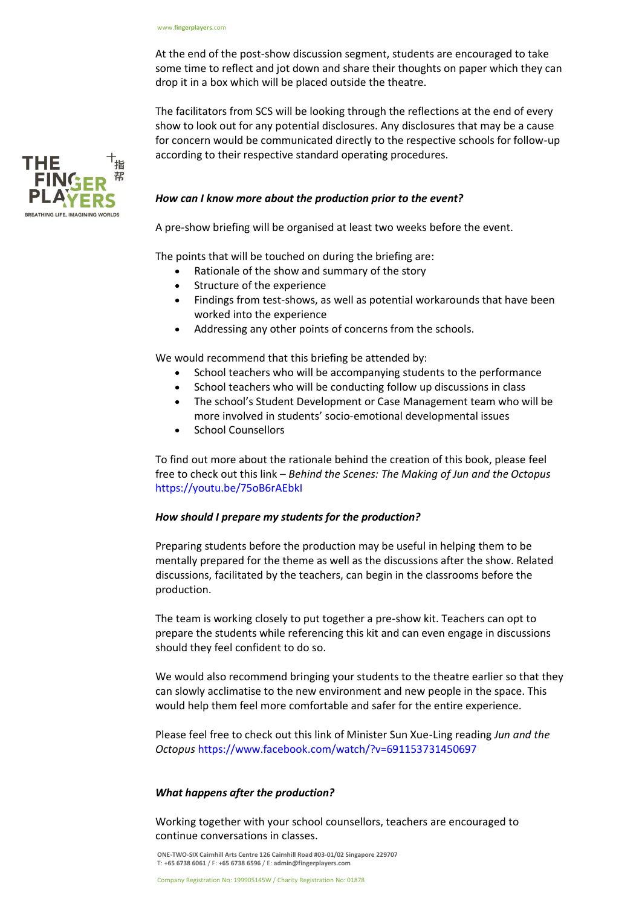At the end of the post-show discussion segment, students are encouraged to take some time to reflect and jot down and share their thoughts on paper which they can drop it in a box which will be placed outside the theatre.

The facilitators from SCS will be looking through the reflections at the end of every show to look out for any potential disclosures. Any disclosures that may be a cause for concern would be communicated directly to the respective schools for follow-up according to their respective standard operating procedures.

# *How can I know more about the production prior to the event?*

A pre-show briefing will be organised at least two weeks before the event.

The points that will be touched on during the briefing are:

- Rationale of the show and summary of the story
- Structure of the experience
- Findings from test-shows, as well as potential workarounds that have been worked into the experience
- Addressing any other points of concerns from the schools.

We would recommend that this briefing be attended by:

- School teachers who will be accompanying students to the performance
- School teachers who will be conducting follow up discussions in class
- The school's Student Development or Case Management team who will be more involved in students' socio-emotional developmental issues
- School Counsellors

To find out more about the rationale behind the creation of this book, please feel free to check out this link – *Behind the Scenes: The Making of Jun and the Octopus*  https://youtu.be/75oB6rAEbkI

## *How should I prepare my students for the production?*

Preparing students before the production may be useful in helping them to be mentally prepared for the theme as well as the discussions after the show. Related discussions, facilitated by the teachers, can begin in the classrooms before the production.

The team is working closely to put together a pre-show kit. Teachers can opt to prepare the students while referencing this kit and can even engage in discussions should they feel confident to do so.

We would also recommend bringing your students to the theatre earlier so that they can slowly acclimatise to the new environment and new people in the space. This would help them feel more comfortable and safer for the entire experience.

Please feel free to check out this link of Minister Sun Xue-Ling reading *Jun and the Octopus* https://www.facebook.com/watch/?v=691153731450697

## *What happens after the production?*

Working together with your school counsellors, teachers are encouraged to continue conversations in classes.

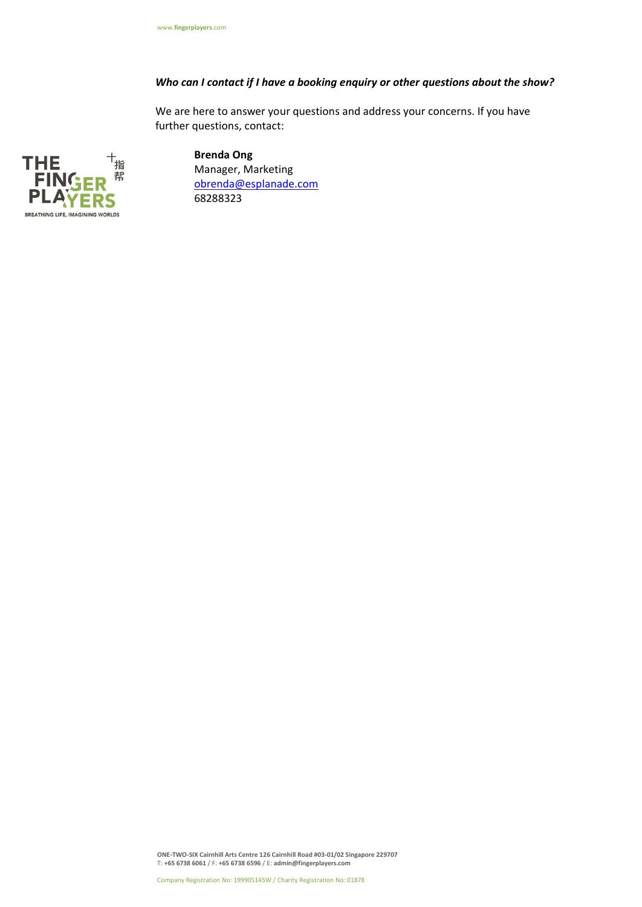# *Who can I contact if I have a booking enquiry or other questions about the show?*

We are here to answer your questions and address your concerns. If you have further questions, contact:



**Brenda Ong**  Manager, Marketing [obrenda@esplanade.com](mailto:obrenda@esplanade.com) 68288323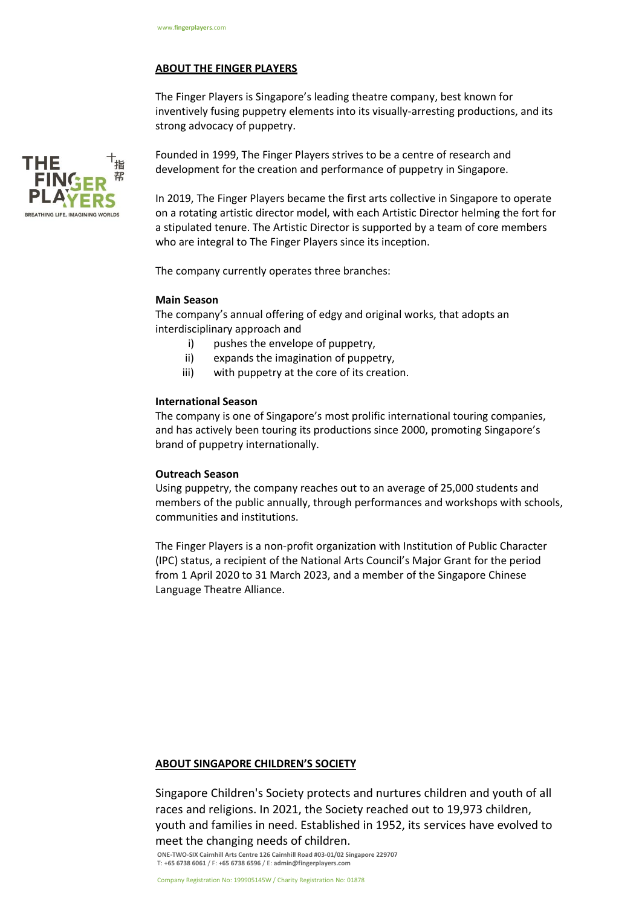#### **ABOUT THE FINGER PLAYERS**

The Finger Players is Singapore's leading theatre company, best known for inventively fusing puppetry elements into its visually-arresting productions, and its strong advocacy of puppetry.



Founded in 1999, The Finger Players strives to be a centre of research and development for the creation and performance of puppetry in Singapore.

In 2019, The Finger Players became the first arts collective in Singapore to operate on a rotating artistic director model, with each Artistic Director helming the fort for a stipulated tenure. The Artistic Director is supported by a team of core members who are integral to The Finger Players since its inception.

The company currently operates three branches:

### **Main Season**

The company's annual offering of edgy and original works, that adopts an interdisciplinary approach and

- i) pushes the envelope of puppetry,
- ii) expands the imagination of puppetry,
- iii) with puppetry at the core of its creation.

#### **International Season**

The company is one of Singapore's most prolific international touring companies, and has actively been touring its productions since 2000, promoting Singapore's brand of puppetry internationally.

#### **Outreach Season**

Using puppetry, the company reaches out to an average of 25,000 students and members of the public annually, through performances and workshops with schools, communities and institutions.

The Finger Players is a non-profit organization with Institution of Public Character (IPC) status, a recipient of the National Arts Council's Major Grant for the period from 1 April 2020 to 31 March 2023, and a member of the Singapore Chinese Language Theatre Alliance.

#### **ABOUT SINGAPORE CHILDREN'S SOCIETY**

Singapore Children's Society protects and nurtures children and youth of all races and religions. In 2021, the Society reached out to 19,973 children, youth and families in need. Established in 1952, its services have evolved to meet the changing needs of children.